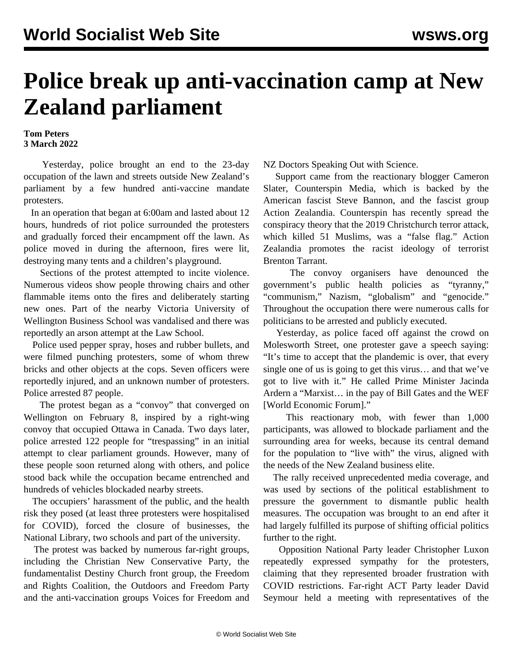## **Police break up anti-vaccination camp at New Zealand parliament**

## **Tom Peters 3 March 2022**

 Yesterday, police brought an end to the 23-day occupation of the lawn and streets outside New Zealand's parliament by a few hundred anti-vaccine mandate protesters.

 In an operation that began at 6:00am and lasted about 12 hours, hundreds of riot police surrounded the protesters and gradually forced their encampment off the lawn. As police moved in during the afternoon, fires were lit, destroying many tents and a children's playground.

 Sections of the protest attempted to incite violence. Numerous [videos](https://twitter.com/Farq_Doff/status/1498851139500281857) show people throwing chairs and other flammable items onto the fires and deliberately [starting](https://twitter.com/sarahjaneparton/status/1498895172771680257) new ones. Part of the nearby Victoria University of Wellington Business School was vandalised and there was reportedly an arson attempt at the Law School.

 Police used pepper spray, hoses and rubber bullets, and were filmed punching protesters, some of whom threw bricks and other objects at the cops. Seven officers were reportedly injured, and an unknown number of protesters. Police arrested 87 people.

 The protest began as a "convoy" that converged on Wellington on February 8, inspired by a right-wing convoy that occupied Ottawa in [Canada](/en/articles/2022/02/02/otta-f02.html). Two days later, police [arrested](/en/articles/2022/02/11/nzav-f11.html) 122 people for "trespassing" in an initial attempt to clear parliament grounds. However, many of these people soon returned along with others, and police stood back while the occupation became entrenched and hundreds of vehicles blockaded nearby streets.

 The occupiers' harassment of the public, and the health risk they posed (at least three protesters were hospitalised for COVID), forced the closure of businesses, the National Library, two schools and part of the university.

 The protest was backed by numerous far-right groups, including the Christian New Conservative Party, the fundamentalist Destiny Church front group, the Freedom and Rights Coalition, the Outdoors and Freedom Party and the anti-vaccination groups Voices for Freedom and

NZ Doctors Speaking Out with Science.

 Support came from the reactionary blogger Cameron Slater, Counterspin Media, which is backed by the American fascist Steve Bannon, and the fascist group Action Zealandia. Counterspin has recently spread the conspiracy theory that the 2019 Christchurch terror attack, which killed 51 Muslims, was a "false flag." Action Zealandia promotes the racist ideology of terrorist Brenton Tarrant.

 The convoy organisers have denounced the government's public health policies as "tyranny," "communism," Nazism, "globalism" and "genocide." Throughout the occupation there were numerous calls for politicians to be arrested and publicly executed.

 Yesterday, as police faced off against the crowd on Molesworth Street, one protester gave a speech saying: "It's time to accept that the plandemic is over, that every single one of us is going to get this virus… and that we've got to live with it." He called Prime Minister Jacinda Ardern a "Marxist… in the pay of Bill Gates and the WEF [World Economic Forum]."

 This reactionary mob, with fewer than 1,000 participants, was allowed to blockade parliament and the surrounding area for weeks, because its central demand for the population to "live with" the virus, aligned with the needs of the New Zealand business elite.

 The rally received unprecedented media coverage, and was used by sections of the political establishment to pressure the government to dismantle public health measures. The occupation was brought to an end after it had largely fulfilled its purpose of shifting official politics further to the right.

 Opposition National Party leader Christopher Luxon repeatedly expressed [sympathy](/en/articles/2022/02/17/nzav-f17.html) for the protesters, claiming that they represented broader frustration with COVID restrictions. Far-right ACT Party leader David Seymour held a meeting with representatives of the